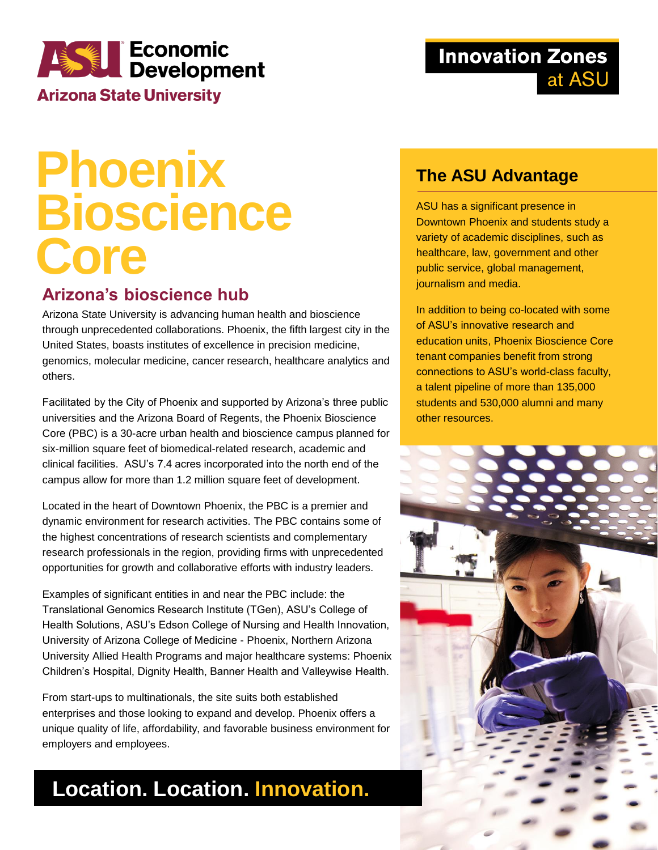# **ASSED Economic**<br>Development

**Arizona State University** 

### **Innovation Zones** at ASU

# **Phoenix Bioscience Core**

#### **Arizona's bioscience hub**

Arizona State University is advancing human health and bioscience through unprecedented collaborations. Phoenix, the fifth largest city in the United States, boasts institutes of excellence in precision medicine, genomics, molecular medicine, cancer research, healthcare analytics and others.

Facilitated by the City of Phoenix and supported by Arizona's three public universities and the Arizona Board of Regents, the Phoenix Bioscience Core (PBC) is a 30-acre urban health and bioscience campus planned for six-million square feet of biomedical-related research, academic and clinical facilities. ASU's 7.4 acres incorporated into the north end of the campus allow for more than 1.2 million square feet of development.

Located in the heart of Downtown Phoenix, the PBC is a premier and dynamic environment for research activities. The PBC contains some of the highest concentrations of research scientists and complementary research professionals in the region, providing firms with unprecedented opportunities for growth and collaborative efforts with industry leaders.

Examples of significant entities in and near the PBC include: the Translational Genomics Research Institute (TGen), ASU's College of Health Solutions, ASU's Edson College of Nursing and Health Innovation, University of Arizona College of Medicine - Phoenix, Northern Arizona University Allied Health Programs and major healthcare systems: Phoenix Children's Hospital, Dignity Health, Banner Health and Valleywise Health.

From start-ups to multinationals, the site suits both established enterprises and those looking to expand and develop. Phoenix offers a unique quality of life, affordability, and favorable business environment for employers and employees.

# **Location. Location. Innovation.**

#### **The ASU Advantage**

ASU has a significant presence in Downtown Phoenix and students study a variety of academic disciplines, such as healthcare, law, government and other public service, global management, journalism and media.

In addition to being co-located with some of ASU's innovative research and education units, Phoenix Bioscience Core tenant companies benefit from strong connections to ASU's world-class faculty, a talent pipeline of more than 135,000 students and 530,000 alumni and many other resources.

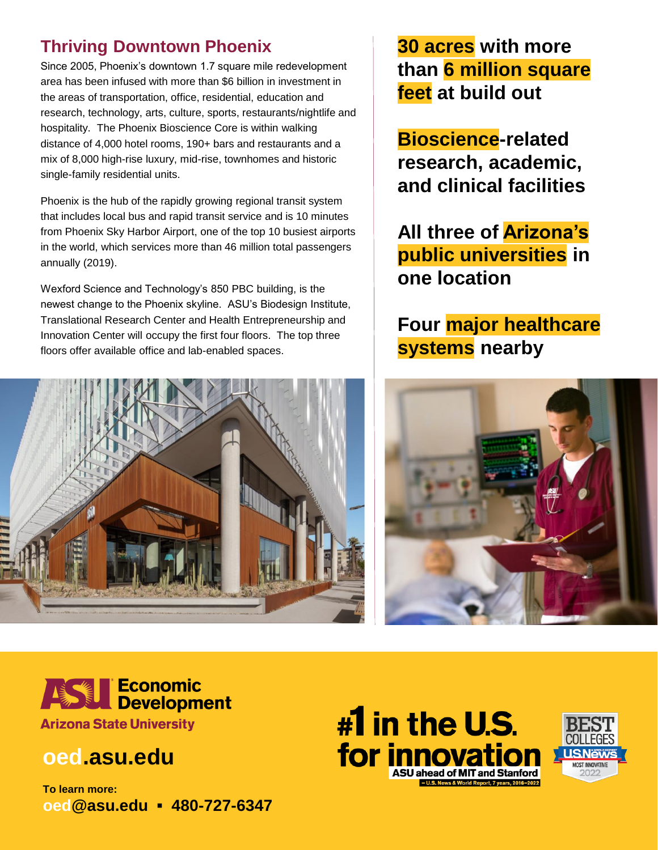#### **Thriving Downtown Phoenix**

Since 2005, Phoenix's downtown 1.7 square mile redevelopment area has been infused with more than \$6 billion in investment in the areas of transportation, office, residential, education and research, technology, arts, culture, sports, restaurants/nightlife and hospitality. The Phoenix Bioscience Core is within walking distance of 4,000 hotel rooms, 190+ bars and restaurants and a mix of 8,000 high-rise luxury, mid-rise, townhomes and historic single-family residential units.

Phoenix is the hub of the rapidly growing regional transit system that includes local bus and rapid transit service and is 10 minutes from Phoenix Sky Harbor Airport, one of the top 10 busiest airports in the world, which services more than 46 million total passengers annually (2019).

Wexford Science and Technology's 850 PBC building, is the newest change to the Phoenix skyline. ASU's Biodesign Institute, Translational Research Center and Health Entrepreneurship and Innovation Center will occupy the first four floors. The top three floors offer available office and lab-enabled spaces.



**30 acres with more than 6 million square feet at build out**

**Bioscience-related research, academic, and clinical facilities**

**All three of Arizona's public universities in one location**

### **Four major healthcare systems nearby**





## **oed.asu.edu**

**To learn more: oed@asu.edu ▪ 480-727-6347**